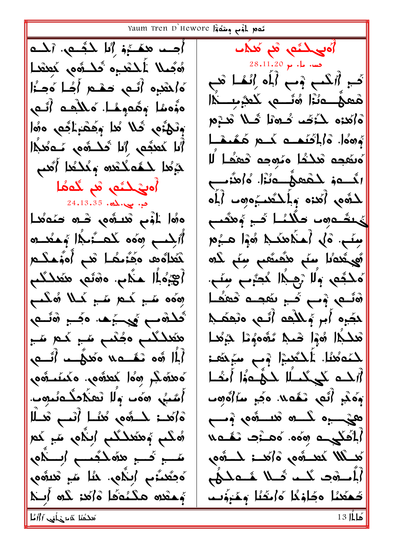Yaum Tren D'Hewore ladio ? أەيهلىئم شم ملك أجب مكَّمٍّو إمَّا لَجْسِي. آلمت مس. ما. م 28.11.20 هُجُمِلًا ۚ يَأۡلَىۡنَ ۚ وَلَا ثَوۡهِ ۚ يَعِنۡقَآ ۖ َّحْمِ ٱلْكُنِّي ثُمِّي أَلَمَا رَانُعُنَا ثَمَّي َهُ/هَيْبِهِ أَنَّــمٍ حَـقَــمِ أَجُــل هَجــٰٓ;ا هُعِنْ وَنُزَا هُنَّــمٍ لَحْجَرِبِـــٰلَا ەزەملا بەئەملىك مىلىم (ئىم ەْ/ْھَۃە لْمُدَّضَّدْ شُــْه اَلْـ فَــْلَا ۚ فَــْبَـْم وَنَّهْبُو وَهُوَ وَهُوَ وَهُوَ وَهُوَ وَهُوَ وَهُوَ وَهُوَ وَهُوَ وَهُوَ وَهُوَ وَهُوَ وَهُوَ وَهُو مُحْمَدُ أَبْلَا مُكْتَمَدٍ مُكْتَمَدًا ٱلْا كَعِبُّمِ إِلَّا ۚ فَكَــوُهِ ۖ مَـٰوَهُكَٰٓ ا هُنفَجِهِ مُحْثُمُ مَهْجِمٍ ثَعِثُمُ ﴾ [ لَّذِهَا لَلْمُعَكَّنُونَ وَلَكْتُنَا أَهُمْ الْمُــــــــومْ ـــــــــــوْنْزَا. وُاهْتُوسب أەن كە ئەنگەنگە لْمَدُّهُمْ أَكْنَوْهُ مِلْمُكْتَسَبُّوهِمْ أَلَمُهُ لَّىٰىشَــەرەب فَلَلْمُــل کَــبِ ہُمِنَّقَـب هوا الْمُو هُدِهُم صُد حَمَّدَه ا سِنَــم. وَلِي أَسْلَاهَنَـــمِ هُوْمِ هَــِرُم أَأَلِكَمَ وَهُوَ لَمْكُمْ ذَبِكُمْ وَحَقَدَهُ لْمَعْلَٰہُ ہِ مَشَرْمُط ۚ ثَعَى أُوۡهُمِنَّكُمْ شَيْعَةَ اللَّهِ مِنْصَفَّهِمْ مِنْهِ لَاه أَيْبَوُهِ أَا حَذَابٍ. وَهُنَّعٍ مَعَلَّكُم ُهَٰلَـٰٓئِمِ ۚ وَلَا رُهِـٰٓكُمْ ۖ كُحِبَّمِـ ۖ سِنَّــحٍ. هُنُـمٍ وَمـمِ ثَمـمِ شَعْمـم ثَعثُمـاً رەەە شېر كىم شېر كىلا ھىگىس لجَمْرِهِ أَبِرٍ مُ لِلَيْفَ أَنَّبَ وَبُعَضَـٰهِ كَلّْوْمِ يُحِجِّه. وَجُمْ وْهُمُو تَعْلَـٰجَالَ هُمْ الصَّـٰهِ مُـُوَوِّمُ الْجَرْهَـٰ ۖ ھکلگىم ەكْتىم شېرگى شې لْمُعَمَّلًا. يَأْلِمُعْبِزًا ثَوْبٍ مِجْعَفَ اْبِلَا رُهُه شَهْــه لا مَعْلَمَـــه اْتَـــهِ أَاحْـهِ كَـهِكْــاً لِمَــوَّةً أَمَّــًا أَمَـّـط وَهَدُهُ جُمْ إِيهُمْ لَا يَحْدُوهِ. وَكَيْئِسْتُوهِ ْوَهُكُمْ أَنَّفَ شَقْقَتَهُ. وَكُمْ سَأَأْوُوهَبْ أَسَّبُ ‰َ وَلَا تَعْدُدُ وَلَدِهِ . ةَأَهَد: لَمْـــؤَهْمِ هُنُسًا أَنْسَــج هَـــلَّا هني و شده تعليمهم نوب ھُگُم ہُمکُلگُم ابْلُامِ سُو لُم أبائكهم وهوه ومشوب تكملها كُلِّلًا يُمْدِرُهُم وْأَكْسَنَ لْمَدِرُهُمْ مُسبِ ثَمِي هَلُهُ لَكُمِسِ إِسْلَاقٍ أبأسةڢ لَك ثَمــا مُــــملهُم ەدەم رىكام. ھا سَر ھىھەر مُمْعَدُه هَلْمُمَكَّا هَ/هُدْ لَمُد اُسْلَا َّكُمُعَنَّمًا ۚ وَجَافِكًا ۚ وَأَمَثَّنًا ۚ وَغَيْؤُنِّ مُحْدُمُنَا مَا حَيَاُفِي ٱلْأَمْلَ  $13 \mathop{\rm l\! \acute{L}}\nolimits$ کا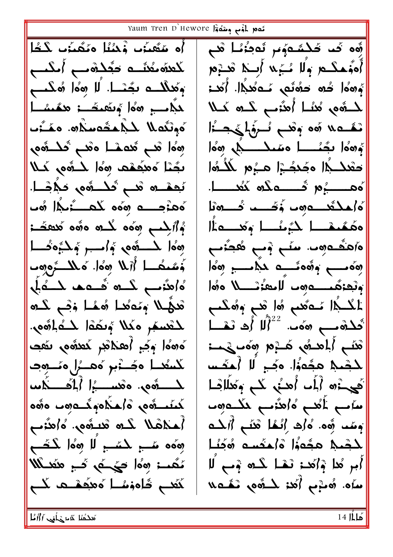Yaum Tren D'Hewore ladio ? il poi

أَه مَثَعَدُب زُحْنُا هَمُمَّزَب كَـْحَا لْمَعَمُومُعُنَـــم حَجُمْــهُ ـــم أَمثَـــم مَحْلَكُ مُحْسَسًا. لَا هِمَا هُكْسَمَ لِمُكْسِبِ 90\$ مُضَمَّصَـٰ: هِمُسْــا كْمِنْتُمْلَا ۚ لْكَلِمْخُوسْلُاهْ. وَهُـُزُب رەەُا قىم ئىمشا ەقىم ئىلىۋە بَعْدًا مُعجَّفَع مِمُا لِحَدُّومِ كَمِلًا ىُھكىدە ھَــ وُكــ وُە دِكَاجْــا. ەھنْجىسە رەەە ئەسسىُنجا ھ وْأَأَلِكْبِ بِهَوْهِ لَكْسِهِ وَقُوهِ كَعِنْفَــز وەُ لىستۇەن بُرامىس بُمِلْبُوە ئىسا هُمُمُهُ ﴾ أَٱللَّهُ وَهُ أَنْ لَا يَعْمَلُ مَعَ وَ ەُ اھْنُوب كە ئۇسىمىس كىسەبلى هَيْمًا مِمَعُطْ هُمُا مَفْعَ لَدُه لمُعْسَمُ مَمَلًا مُحَمَّدًا لِمُحَارَّمِهِ. ٥٥٥أَ وَجَمِ أَهْلَاثَهِمْ يَعْدَثُوهِمْ يَعْجَدُ لكسُعبا وجُسْءُبر وُهسرا ومُسووف لمستَوى. وقسيةُ أباضَـــكَاس كْتَنْسَتْوَى وْݣْمْلْمْدْوْمْ مْتّْرْمَارْ وْشْمْرْدْ أَهْلِكُمْلًا ۚ لَكُنَّهُ قُلْبَقُومٌ. ۚ فَأَهْذُمِ رەەُه شىز كىئىز لارەە كىغى مُمُسنَ رَهُمْ فَكِيمٌ ثُمِّ مَتَعَسَّلًا السَّمَّةُ نَعَم خَاەمْسُـا ەْھەَـْــم نَلــم

ِّهُه ۚ ثَمَا ثَمَلْتُمْ هِ ۖ نَوْمُ مُنْ أَسْمِ أَهُهُمكُمْ وَلَا يُجِيهِ أَسَلَأَ تَعْبُوهِ مُ‰ا ضُه حهُنٌم مُـهمُدِ﴾ا. أُهد: لمسؤوم هُنُا أُهْنَى لَمْدَه كَمِلًا تَمَـْمَلاً مَهْ وَهْبِ نُـرَوْبِكَـِــْزَا حفَفَيْكُمْ وَجُدَّجْ مِجْمٍ لَمْدُوا ەھـــــــْبِم قـــــــــــەلدە كَعُــــــــا. ە/ھلگىسەرەت ۆَچَىسىن چُىسە تَا وَهُمُمْشَـــا بِمُنْـــا وَمُحـــومَا ەَاھنْھەرەب. سَنَّے بْمَسَّے ھُجَّنَّب رەمب بۇ مۇھىسىم بىلاسىيە رەھ لْمُكْبَا مُـهَمْمٍ هَٰا هُمْ بِهُمْكُمْمٍ  $\sum_{i=1}^{\infty} \sum_{j=1}^{\infty} |j|^2$ لَّا أَرْدَى نَـمْــــا فَعَلَمَ أَبْلَعْتُ وَهُدَامَ وَمَعَامَلَ مِنْتَمَ لِلْجُمِيمِ هِجُوءُل وَجَمِ لَلْ أَحْثَمِتَ َّكِيْءُ ۞ أَيَابٍ أَهْنُى ۚ كَبِي وَهَلَاقِيا سامے ناھے ہاھڈے مکےوہ وَمَمَّد رُّهُه. وُأَرْدَ إِنْكُمْ قَتَلَحَ أَآتَكُمْ لمُجْمِدِ هِجُووُٰا وْاُهتَمْسُو هُجَنُنَا أَمِرٍ هُلْ وَأَهْدَ نَصْلُ لَدُهِ وَمِن لَا مِعَاهِ. هُمْنِهِم أَهْدَ لِمُسْهَى مُكْتَبَهِ

مُحْدُثُهُمْ وَاسْتَخْرَفُوا الْمُحْمَدُ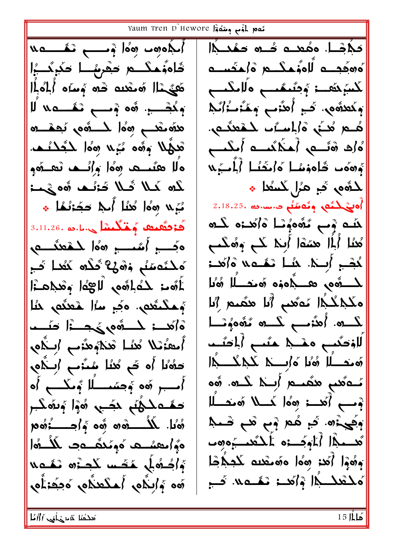raum Tren D'Hewore ladion فَجَدًا. وهُعْدُ صُبُو صَعْدَجُا أبكوهب هوا وسب تكسمه ەھكچىدە للەۋمىگىدە ۋامتىسىد دَّاهُمَمْكُــم حَفْرَهُــا حَكِكُــجُ ا اَلْمِنْ وَلَمَّةٍ مِنْ مَنْ مَسْرَهِ ﴾ كَسَرْدَهُـــز وُجِئْسَمْــــى والْاسْلَــــى بَهُجْتِ فَي مَهْرٍ وَمِن مَسْرِ مِنْ الْمُسْرِ مِنْ َوٖكَعِدُوهِ ﴾. ثُبِ أَهْذَنِي وَعُذُنُ أَلَيْهِ مدَه گُلُ مِنْهَا لِمُسْتَمَّمَ لَبْعَفَ مِ هُـم هُـنُى هَالِمِـرُ، لَـمْعِنُـم. ەُلِد شَتْبِ أَحْذَبُتُك أَمْكُسُمْ تَعَمُّلاً ۚ وَقَو مُبَرِيهِ وَهُمْ لَمُحِكْسَةٍ . مُحْمَد خَاهِمْسًا هَامَثْنَا ﴾ اِبْمَا يَهْدُ وَلَا حَسَيْتِ وَوَا وَإِنَّــْ نَعْــوَهِ لَمُلَهُ كَمِلًا ثَمِلًا ضَرْبُـْمٍ وُهُ يُهْمِـنَمْ لْمَوْمِ ۖ ثُمِّ هُمُ لِلْمُلْطَ ﴾ مُبَمَّدٍ وهُما هُنُا أَمِي حَجَّزَتُهُا ﴾  $2.18.25$ . اللَّهِ وَمُعَظَّمَ مِنْكُمْ وَ $\sim$ لَفُ ثَوْمٍ مُؤْمَوْمِهُمْ أَوْأَهُدُهُ لَدُو 3.11.26. و. السكنة للمستخدم مُثَلَّ أَبَلَا مَسَّمَا أَبِيَّا كُمْ وَهُكُمْ ۖ وجَــــِ أَسُـــــِ وَوَا لِلْمَعْنَــــَـــهِ كُشِّبِ أَبِـٰكَ. حَلْهُ سَمْـٰهَ لَا مُحْتَ ُەنىئەملە ۋەپخ كەن كەنا كَب لمَسْتَوْمٍ مِسْبَاءَوْهِ هُمَنْسَلًا هُمُا أَمُعن لِمُهْلِمُونَ الْمَلْكُمُ وَهُلِمَحْتَ مَكْجُدُجُا مُوَمَّى أَمَّا مِتَّمِيمِ إِمَّا مُمكْتُدِهِ. وَجَزِ سَالَ مُعْتُمِي لِمَا لْمَــــه. أَهَنُـب لَمَـــه مُهُوءُنَـــا هُ أَكْسِمَ مِنْ مِنْ مِنْ مَسْدَةً لَاٰذِحَکَبِ مَصْبًا حَتَیبٍ اٰلِمَحَصَب أَمعدُنَا لَعْلَم هَٰذَا وَهُمَّنِي الِنَّامِي هُمَصَالِ هُمَا هَاسِمْ كَلِمْكُمْ الْمَسْمَلَ َحَمُّنَا )ُه ضَم مُثَلَّا سُنَّنَے السَّاهِ مُـــ٥ مُع معُمـــــــــــم أبــــــــم الله ه أمبر هُه وُحِسْساً وُمكْس أَه وْمِبِ أَكْتُ: رَهُمَا كَمِيلًا هُمَصَلًا حَصَّـٰهَـٰـٰهُـٰبَعِ ۖ دَمَمِ ۚ أَوۡهَا ۖ وَمَعۡكَـٰـِر وَهَيْءُهِ. ثَمِ هُم ثَمِّ صَمْ أَسْمِ شَمِيْرًا هُمُلْ. لَلْاَــــــةُ٥ وَ٥ وَ وَاحِــــــأَوُمْ تُعْسَدِيْا أَيَابِمَ مِنْ يَأْكُفْسَيُوهِ مِنْ ەمُ اىسىگ مەمگىگى بىر ئاگىدۇا وَهُوَا أَكْدَ رَوْهَ أَوْمَعْنَدَ لَكُمْ وَالْمَسْرِينَ بَمْ اجْــهُ) ـمَـتَـــ للجــْرَه تَـمَــه هَكَعْلَـــِكَمُ أَوْأَكْتَ: تَـقَـــهَــلا. كَـــبِ رەلنىفە كەلگىنىگە كەبكتا

مُحْدُثُهُمْ وَاسْتَخْرَفُوا الْمُحْمَدُ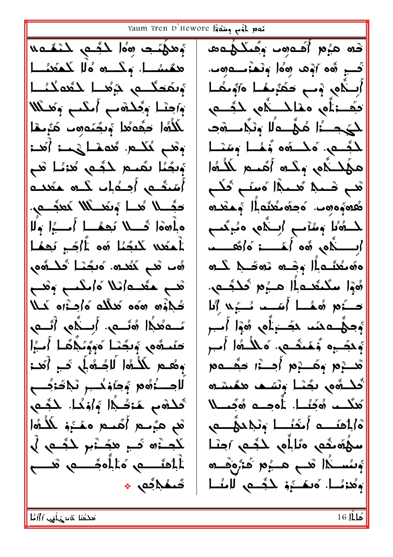raum Tren D'Hewore la 1927 بُمِعْهُنَبِ وَهُمْ لَمُشَمَّمَ لِمَنْقَسَمَةِ څو هېْم آَهُدُوب مِگْتَلَکُدُه م محكمسان ولمسمو والمتحكم المتحد َّڪَ هُه اَٻُم هِهُمْ بِمُشْرَـــهِهِــَ. وَسَمَعَكُم مَرْسَدا لِمَسْمَلَنَا أَسِنَاهِ وَمِعٍ حَقَّدِهَا هَوَّمُهَا وَاحِنًا وَقُلُّهُ مِ أُمُّلُم وَقَبُّلًا } بصفاءه مقالمستامه لمقصى لْمَلُوا حَقُّوهُا مُحَمَّوهِ مَبْعِظَ لمَهْجِبُ أَلْمَوْجُبِ الْمَجْمَعِينَ الْمُحْمَدِهِ وَقْبَ مُكْتَمَ. قُدْمَسْلَيْمِسَة أَكْتَبَ لِمُعَى. هَلْمُوهُ هُمُمَا وَسَمْنَا عَهْلَــٰٰٓاهِ وَلَدُه أُمَّــع لَلْـُهُا وُبِّمُا بِمَيْنِ لِأَيْنِ مُدَيْنَا مَن ھُے ضَــٰہٗ مُــٰـٰہُٛا ہٰسَٰے ۖ فَـُـٰے أسَنْفَــمِ أَجِــمَانِ لْمَــرَة ـمَعَنَــم حَمَّــا لَا صَــا مَنْ صَــا اللَّهَـــمي. هُدُوهُوهِ وَجِدَةٌ مُعْتَمِلًا ۚ يُهِ عَقْدِهِ داردة المسلا يُحكَّلُ أُنْسِيرًا وَلَا لمسؤولا ومنآمس السكامي وموكسي أَحكنا لَاجُمُا هُو أَأْكُمِ نَعْمًا إيسناهي قوه أخمسنه وأقفست هُڡ ثُم لَمُعْـه. هَبِمُنْـا ثُمْــؤُهِي ەھىكشەبال بوشىرە شەخىبا لەي تُعبِ مَعْدِهِ/سْلاَ ہُ/مِنْدَمِ ہِقْب هُوْا سِكْتُفِ إِلَا هِجُمْ ثَكْثُ مِ. حَسَّوْمِ هُمُسًا أُمِّسِي مُسْبَرِي إِمَّا كُلِمْوُه هوَه هَلْكُ وَاجِنْزَاه كَمِلًا صَـٰدِكُمْ اللَّهُ نَــمِ. أَبِـــٰكُمِ أَنَّــمِ وَجِمْعِهَمَدٍ حَجَـٰزِأَى وَوَا أَسِر حَسُدُّهِ مَ مَجْسًا مَمْهُمَكُمَا أَمِيْهِ مُحِكِّبِهِ مُعْنُفُـم. هَلْلُـهُا أُنبر َمِثْمِم لَمُلُوُّا لَاجُلُوبُ کَبِ أَمَد هْــــٰٓةٍم مَكَـــٰٓةٍم أَجـــٰٓةٍا حَجَّـــوم كَلّْــؤُوم بِكُنْـا وَتَسْـف مَكْسَنْـهِ للصنوفُوم وُجَافِكْسِر لْكِلْخَدْفُسِي كَعَكْــــَـــه هُجَئُـــا. نَلْمَحِـــم هُجَـــــلا كَلّْهُم هُمْ*كُ*اْ وَافْكًا كَجُمْ ْ هُمْ هَبُرْسُمْ أُهُسْمْ مَفْخُفُ لَمُلْأُوا ه المعَدُ أَمِنُهُم السَّلَمِينَ مِنْ الْمَحْمَدِينَ مِنْ الْمَحْمَدِينَ مِنْ الْمَحْمَدِينَ مِنْ ا لَكِمِنْزُهُ ثَمَعٍ هَجُنْزَمِ لَلَقِيمِ ﴾ سَهُمُوشَى وَنَالِمَ لِكُمْ أَجِبًا المسمى مالم وتسمى مسلم مُسْــٰكَا قَبِ مَــبُومِ فَتَرْوَضْــُه تُممُجْكَدٍ \* ومُدَمُـاً. وَيَضَيَّدُ لِكَسَمِي لِلْمُـا

كَالَمْ أَيْمَا مِنْ أَيْمَاءُ مِنْ أَيْمَاءَ مِنْ الْمُسْتَمَرَةِ مِنْ أَيْسَاءَ مِنْ الْمُسْتَمَرْ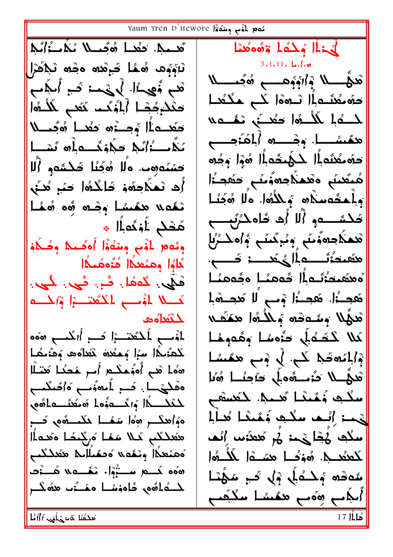raum Tren D'Hewore ladion مُعْمِلًا. فَقُطْ هُجُمِيلًا تَكْلُمْ أَنُكُمْ لَّهُمَا أَمِّلْهُمْ وَهُوَهُمْ وَالْمُؤْمَنَ  $5.1.11.$   $1.1.0$ لْآمُهُم هُمُا ثَبِهْدُ وضْه لَلْأَفْرَا تَعَلَّى اللَّهِ وَالرَّجَمُ مِنْ مَعْرَفَ اللَّهُ مِنْ مَسْرِ اللَّهُ هُم نُهِيمًا. لَي حَمدَ كَبِ أَمكِم حَوْمَعُنُداً لَـ 30 لَــمِ مَكْعُداً حَلْدْبِكُشَا ٱلْمُفَعَد نَفْعَمِ لَمُلْـٰفَا لمستمين المستخدم فكسمته حَعَد اللَّهُ حِــزُه حَعَداً هُجُمـــلا همُسُط، وقَصده أبلَمَدُهــــم حَدَّه معُنَّد أَلَّم حَكَّمَ أَلَّا هُوۡمَ ﴾ وحُده حَمَّمُوهِ وَلَا وُجَعًا خَطْعُومِ ٱللَّهُ هُمُعُمَّمٍ وَهُمَكُلِهِ وَهُمَّــعٍ وَهُمِــُرَا أَدْ نَعْذَاجِهُمْ خَالْمُهُ احْمَٰ هُنِّي مِلْعَقَدِمِنَاهُ مَجْلَاهُ أَوْ اللَّهُ مَا الْمُجَعَّدِ تْعُمْلا مْكْتْتَا مْقْتُمْ رُە ھُكْتَا َّكْلُمُـــــەمِ ٱلَا أَه خَامْلُرُبُـــــمِ َهُصْلَمَ لَأُمْثُوبِٱلْ \* تَعْتَدَاجِدَهُ مَعْ وَمُرْكَبَكُمْ وَٱوْلَـٰزُوْلَ وِمَّەمِ لِمْوْمٍ وِمْدُوْۤا أَوَكَــدِمِ وِضُـدَٰوۡ لَّاءُا مِعْنَعَدًا فُنُوهُمْا ەمەئىدالشەمال ئەمئا ەئەمئا قَلَى . لَكَمُا . ثُمّ: ثُمّى : لَكِي . هُجِــُرَا. هُجِــُرَا ثَمِي لَا هُجَــوْهِ. كُلًّا لَمُوْبٍ لِمَكْعَنَــْ;َا وْكَــُــهِ مَعِيْلًا ۚ وِسُــٰءَدُهُ ۖ وَجِـللَّـٰهُۥ مَعْنَفُـبَد لمتكاءها كَمَا كَتَمَـٰهُ) حَنُوسًا بِمُعبِمًا لْمُوْسِمِ لَمَكْتَسَـٰٓةٍۢ كَسبِ أَالْمُسَمِ 2009 لَكْمُنِكُمُ سَبَرَا مَعْمُلَاهُ لَمُعَلَّمُونَ مَعْنَوَعُكُمْ وْكِلْمُوصَلّا لَكَمِ. ﴾ وْمِع همُسُمْ هُما هَمِ أُهنُمكم أَسر مَحدُا هَنَـلًا تَعِيمُكُمْ ۚ تُوَّصِيُّهُ مِلْ ۖ وَاحِنُكُمْ ۚ وَٰهُۥَا ەقْلَىْل، كَسْمْ لْمُعْفُسِي كَاصّْكُسْس سكب مُمُعْدا مُعمِهِ. لمكسفَم لِمَعْلِكُمْ ﴾ [هُــوَهُما مَعْنُــواهُمْ وَمِعْنُــواهُمْ تحمد إلى سلَّب مُمَسْلًا مُلَلِّهِ ەوُاھىگىز بوەا شىشىلەتلىنىشە كىب ىصْنَا بِصَاحَمِينَ فِي مَسْتَرَاحَقَ صِلْمَهِ هَفَلَكُم كَلًّا سَعْا هُرِيَكْمُا هَفْدَاُ مُمنُعَدُا وتَعْمَدُ مُحَمَّىلَا مَعَلَّكُتَبَ لْمَعْصَـــِمْ. هُوْصُــا مِسَـــْهَا لِمُكْــهُا ههُه كم سؤوا. تَمَسَهْ هُسْءَد مُعَدُّه مُحْــُهُ بِهَلْ كَبِي مَكْمُـَـا للسُمَارُّهم هُاهفِسًا ممَّـنُو مِهَمَّـر أىجاب رەەب ھگىشا سگېمى مُحْدُثُهُمْ وَاسْتَخْرَفُوا الْمُحْمَدُ  $17 \ \cancel{|113}$ هَا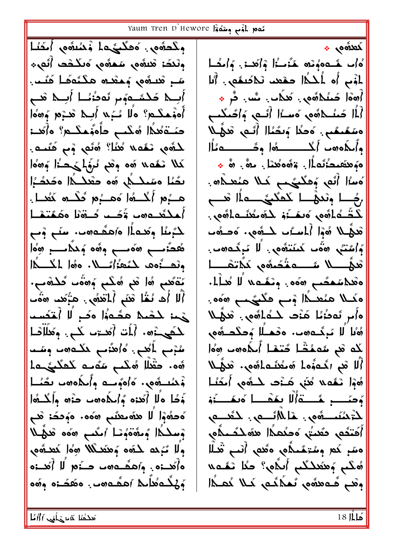## raum Tren D'Hewore ladio ? il poi

مِنْكُمُوا مِنْكُمْهُمْ لَمَنْتُوا مُنْتُوا مُنَاسَفَةٍ وْنْدَهُ: كَلْبُوْهِ مُعَوُّهِ وَكَلْخُصْ أَنُّهِ وَ سُمِ قُتُّوهِ مُعْقَدُ هَنْدُهُمْ أَقْتَبَ أِبِــِـمْ حَـٰـُـْـُــِهِ ۖ وَ مَـٰٓءُـٰـا أَبِــِمْ ۚ قَــٰـمِ أُوزُعِكُمِ؟ وَلَا يُبَيِّدُ أَبِيءُ قَدْمٍ وَهُوَا حَسَّةَمُكُلًّا هُكُسِمٍ حَلَّهُ مُصْلِّـعٍ؟ ه}ُمُـــٰٓ لْمُوْمِ نَعْمَلا هُنُا؟ وُفُعِ فَمِنْ هُنُسُمْ. أَهُلاَ نَعْصِدُ مِنْهُمْ مِنْهُمْ مِنْهُمْ مِنْ أَمِنَ مِنْ الْمَدَّ ىغَمَّا ەسَىلىگى ھَە حقىلىگا ەخىصُرَا هـــُم أَكْـــدُه أَهْـــدُم كَكُــدِه كَحُـــدِ أملقت دەب وَّصَّت صُنْوْنَا وَهُمُتَمَّا لْجُمُعُلُّ وَهُدْهَا أَمْ مَشْدُوهَا مِنْسَى وَمِنْ الْمُنْسَوِينَ وَمِنْ هُجَنُوبٍ هَمَوبٍ وَهُمْ وَمَدَّسِبٍ هِمَا وتصدُّوها لِمُعْدُلُا مِنْ الْمُسْلَاءِ وَهُوَا لِمَكْسَبِكَا يَّةَ هُم هُا هُم هُكُم مُهْتُف مُحْدُوب. أَلَا أَهْ نُظُا قَنِّعِ ٱلْمَعْنَىٰ ۚ مِتَّبَعْدِ وَقَات حْمِدَ لِلْكُمِيمِ هِدَّعَةُ أَمْرَ لَا أَحْمَدَ مِنْ لمَعْهِـنْم، أَلَمْت أَهْــٰزَب لَكَــٰ وَهَلَلْأَصْـل عُبْرَمَ ۖ أَكُمْ ۚ وَاٰ وَأَصَّدَ مِنْ اللَّهِ وَمَمَّـدَ ۖ وَعَمَّدَتَ وَمَعْنَدَ رُهُهِ. حَثْمَلًا رُه كَمي مَهُم لَكَمَنْهُ عَامَ وْهْلَــوُهِ. وَأَوْمُ ــهِ مِلْمُوهِ لِكُمْ لَهُ عَـُــلَ هَٰطًا هَ لَا أَهْدَه مُ ٱلظُّهرات حزَّره مِأَلَّكُ وَا هُحدُّهُۥإ لَا هدُهُ مِعنٌم ۞هُ٥٠ ههُ مَحُدٌ ۚ هُم وۡمِعۡـٰٰٰٰٰٰٓٓٓٓٓا ہُمُوۡوَّدُؕا اُمَّنَـٰہٖ ۞ہٗہ قَدۡہُنَّا ۖ وأَلا تُبْدِهِ لَمُوهِ وَهَكَذَلَلاً وَوَا كَعَدْتُوهِ هأهداه وأهقت وما والأمام وَهْدُه مُنْكُمُ مَنْقَدِهِ مِنْكُمْ مَعْضَرَهِ مِنْهِ مِنْ

 $\cdot$   $\bullet$   $\bullet$   $\bullet$   $\bullet$ ەُ مُسْمَوْمُ مُعَامَدُ الْمُؤْمَنُ وَأَكْتَبَ وَأَمَثُنَا لمُوْمٍ أَه لَمَــدًا حققت تَلاَصَعَهِ. أَمَا أَهْوَا صَنُكُلُوهُمْ. هَكُلْبٌ. مُّتَّبٌ صُرْ ﴾ أَلَمَا حَسُلُهُ مَمْ أَلَسَ وَاصَّلَا } فَسَلَّمَ مَنْ الْمُسَلَّمَ } } فَصَلَّا اللَّهَ } } فَصَلّ ەسّْسُسُم. ەَحدًا مُسَّىُّاا أَنَّـم شَوُّـا\ وأَلْمَاهُ مِنْ أَلْمُسْلِّدُوا وَهُـــــــوْمَاْ! هَ ما اللَّهِ وَحَكْنَى مِنْ كَمِلًا هُنُعَـٰدُهُ . رجُــا وِنْدَهْــا كَعَكْبَيْـــعاْلا قْـــم تَعَهُّىلاً هُمْٓا ٱلْمَسَّابِ لَمَــةُوبٍ. وَصَعُوب ، دەھتى ھەم كىنتقى ، لا مۇگھەم مَعَهُـــالا سَـــمَقُحَموهُ بِيَكْتَمَـــا هقدا منعصّب وهوه وتشعده لا مُحلّل هَمَــلا هنُعَــدُا وْب هَدْنُ مِنْ رَهُهُمْ. ەاُم ئەدالا ھٰاْد كــەلمەُەب. شۇلما رُهُمَا ﴾ لَا مُوكَّدُه مِنْ مَا اللَّهُ وَحَدَثَهُ مِنْ اللَّهُ وَحَدَثَهُ مِنْ لَمْهِ مُوَهْدًا مُتَعْا أَنَّاهُ مَنْ اللَّهُ عَلَيْهِ مِنْهَا ﴾ ٱللَّ شَمْ رَمُّدَهُمْ لَا مُعْشَدْاهُوم. شَمُّلُا هُمْ! تَعْمَدُ هَٰذُو لَكُمُو إِنَّمَنَّا لَهُمْ أَنَّمَنُـا وَحَمَّـــــمِ هَـــــة أَلَّا بِمَكْـــــا وَبَمَـــــزَوْ لْتَرْمُنُسْتُوهِي. هَا لِلْأَسْتَ فِي الْمُعْتَبِي أُهْتَعُمِ حَعْضُ وَحَكِمَا هَوَ لَكَسِدًا مِ هَمْ لَمْ وَسُتِمُمِلُّو وَقُومٍ أَنْسَى تُعَلَّلُ ھُنگ مُعتَعَلَـكُم أَلَـكُم؟ حَدًا نَـقـُـمَـلا وْتُعَمّْ قَدْمَتُهُمْ نُعْكُلُكُمْ كَمَلًّا كُلِّصَكَّالًا

محلفة الأمران أستكفأ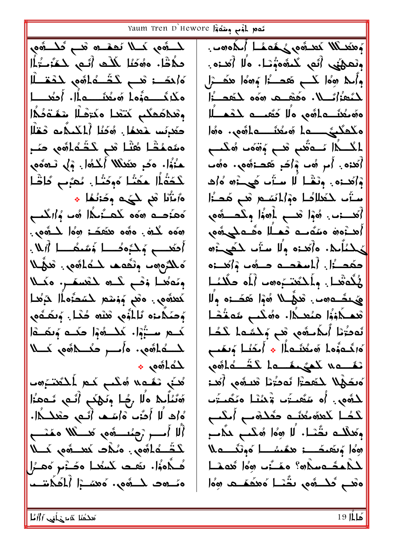## raum Tren D'Hewore la 1927

لمَسْتُومِ كَمِثْلاً تُصْفَّسُو ثَقَبَ ثَمْلَتُومِ حِدُّتًا. وَهُمَّنُا لَمَلْتَ أَنَّـَى حَـمَّزَتْ أَا َهُ/حَصَـٰۂ قَسـِم كَـتَّــهُ اهُٯِ لَـضَـقَــلَّا مكركَـــوَوْهِ أَمْ مُعْتَـــواْلِ أَمْعَــــــا وهلاهَعكُم كَتَعْلَ مكَرْفَلًا سَمَّةَفُلًا حَعْدِيَسَ حَعْظَا فَوَصَلَ أَلْمَحْدَهُ مَقَلَّا مسَمَعْتُمْ هُتْمَا هُم كَتُمُاهُو مَعْ هُ:وُّا، وَهُمْ مِتَعَلَّلاً أَكْثُوا، وَلَى نَعْوَةُولَ كْخَةُ أَلْ حَكْتُا هُوَفَتْا. مُعَبْبٍ قَاضًا هَ، مَأْمًا هُم لَمَيْءَ وِحَرْبُهُا \* هُهَ ُصَدْ هُ مَهْ مَحْمَدُ مِمَّا هُ مِ وَارْتَكْسَمِ أَحَكَـــم مُحْدُوهُـــا مُسْمُـــا ٱللهَ . ەللەُدەم بۇققىھ ئىكەلمۇدە باشكىللا وَمُعَاهَدًا وَضَمْ لَدْتَهُ لَلْقَسَمَسِ وَمَكَّلًا لَمَعْثَوهِ . وقع مُفْتَحَم لَمَتَحَدُّوا لَمْ مَرْهَدًا وَحَسَامَ مَا الْهُوبِ قَطْلُهِ حَمْلَ وَمَعْدُوبِ كُمْ سَيُّوْلُ كَكَنُوْوَا كَدْءُ وَتَكَنَّوْا للسفاؤهي. وأسس حنك الأوهي كمسلا \* Josélál كُتَبِ نَفَـٰهِ لَا هُكُتِ لَمَـٰهِ لَمَلْكُتَنَةٍ وَمَا هَنُنُاْبِهِ وَلَا رَجُـا وِنَهْنَـمِ أَنَّـمٍ نُــْعَمَٰۥَا هُ}د اَلا أُضَّب ٓهُ}سَـم أَنَّـمٍ حقْلــدًا. أَلَا أُمِي رَجِئْنِيْدُهِ ۖ هَبَيْلًا مَمَنْيَ لْمُشْــهُ إِنَّهُم بِ هِ مُكْمَدٍ مُعْـــوَّهِ مِ كَمِــالِ كَــكَاهُوا - تَعْلَـدَ لَمْتُعَلَّـ هَضَـوْمٍ هَمْـرَا ەئىھ كىشەن. مەسىرا المكانت

. مەەلكى كىلمىشكى مەشكىلا كىلگىغەم وتَعِطِي أَنَّعٍ كُمُؤُوثُونًا، وَلَا أَهْدَوَ. وأملا بوه الله همسةُ وهوها مدَّم إلى لمُعَذِّرُ مَسْلًا. وَهُشَمْدُ وَهُو لِمَعْصَدُ وَهُ بِكُنْتِ عَارُهُمْ وَالْمُحْصَنِ لِلْخَمِيثِ الْمُحْسَنَاتِ اه، مره، الصيف من المستخلفة لمكسكا مُسعَثُم هُب مُوقَوَّم هُكْسب أُهْدَه . أُمِ هُ أُمُّو هُدَ هُمُ اللَّهُ وَهُ مَنْ اللَّهُ . وْأَكْتُو، وَتَغْبَلُ لَلْ سَنَّفٍ كَبِيدٌوهِ وَأَكْ سأم لمكلاكا ووْالمسّم هَم هُدءُ! أُهْــِـن، هُوۡمَا مَـــــــوَا وَاللَّهُ وَلَــَـــوَهُ وَلَـــوَهُ أهنزه ومفكات فسأل وقاعلي حكمية أراسقميه ميؤت وأكين جُلُّدَتْنِــا . مِلَٰـلَـتَنـْـزِهِ مِن أَلَم حَلَّلَـٰـا هَام منكَّض أَوَمْ لِلْهُمْ. بـ مصـدة مِنْ تَعْمَلُوْوُا عِنْعَـٰدًا. 96كْبِ سُمِتُكَـٰ نُهضُمْا أَسكُم هُم مُحْسَما كَحُا دَاكَـدَوْه! هَمَعُنُـداْلَ ۞ أَمَثَـٰا مُحَمَّــا مُحَمَّــــمَّــــمَّــــمَّــــمَّـــمَّـــمَّــ *رەۋلماڭگ*ە كەستىر ئىك سەھم ُەىكىھْلا خەّدْرَا ئەدْرْنَا قْسەُى (ْھَـزْ لْدَوُهِ . أَو مَثَعْبَتُ وَ مُنْسًا وَمُعْبَتُو لْمُط لَاهوَمغْنَـه حفَدْوَسح أَمثْسح وكللُّده بشُنا. لَا هِمَا هُمْبٍ بِمَاسِعٍ الصَّدَ : مَعْمَدُ الْمَمْسَرِ وَالْمُسَمَّل للكمعُـــه سلَّاره؟ ممّـــّزت رهوا قُعمتَـــا هِ مَعْلَمٍ ثَمْلِ مُؤْسَلٍ مُعَصِّدًا مِمَا

مُحْدُثُهُمْ وَاسْتَخْرَفُوا الْمُحْمَدُ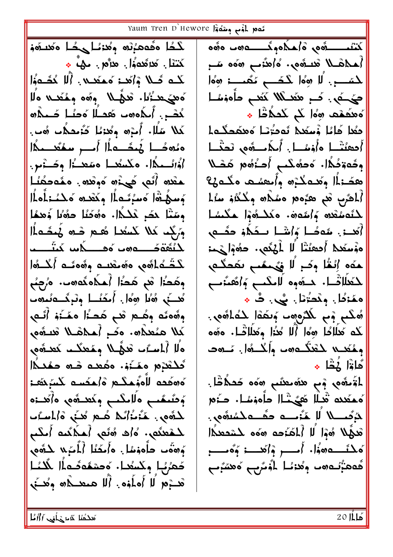Yaum Tren D'Hewore la 11

لَّكُمْ وَهُومِهُوْ وَهُدَنُـا حَكْمٍ وَهُدَوْهُ وَلَكُمْ كَتْتْلْ. كَذَهُواْ. هَالُّ وَلَا مَعَ يَ لَكُمْ فَلَلَّا وَأَهْدَ مُعَصِّلًا. أَلَّا تُشْمَهُ هُ مِنْ مَثْنًا. تَعَلَّى الْمُ مَعْصَدِ الْمُسَارِدِ مِنْ لُمْصَـٰمٍ. أَبْدُه وه مَعْصَلًا وَحِبًّا صَـٰدُهِ لَمِلا مَثَلًا، أَمِرْه وقُدْنُا كَنُعِجْفَ هُفٍ. هُمُوصًا هُمِشَــهِ)ُ أَمــرِ سَفَعُــمَدًا اوُرْسُــداًا. مكْسُعْــا ممْعْــوْا وِحَــوْسِ. مَعْدَهُ أَنَّمَ وَجَمَّةٌ وَمِعْدَهُ . مَقَدَّدَهُ لَهُمْ أَمِعْهُمْ أَمْسَاءُ الْمَحْقَدِهِ ۚ مَحْشَدَهُ وَالْمَارَ ومَثَا حَصٍّ غَدْلُمَا. وَهُمَا حَوْمًا وَهُمَا مَّ مَدَّ الْمَسْلَاطِ مِنْ مَدْ مَنْ الْمَسْمَدِينَ مِنْ مَنْ مَنْ الْمَدْ لَقُسُمُلُوهُم مِنْعَسِمٍ مِنْهُمْ مُسْلَمُ الْكُسُوَّا وهُدُا هُم هُدُا أَمْلَاهِ ٱوْ وَ وَ مُ كُنْبُ هُمُا هِمَا. أَمَثَنَا وِنْزِنْمَسُوبَ وِهُومٌه وِهُــم هَــم هَـدُ: هَـدُ: أَنَــم كَلَّا هَنُعْدُهُ. وَضَرِ أَمْكُمْهَا قُسْرُوهِ وَالْمُ أَمْسَابَ شَوْسًا وِهُعَكَــْ لَمَعْدُوهِ تُطْتَوْمِ مَفَّةٍ. مَقْعَد ضَهِ كَفْحَادًا مُوهَدِم لِلْمُهْمَكُمْ وْالْمَحْسَمْ لَحْسَرْتَهُمْ: وَمَتَنفَسٍ وَالْمَكْسِ وِكَعَنَّوْقٍ وَأَهْتَوْهِ لْمَدُّوبِ. هَٰذُنُّكُمْ هُـم هُـنِّي هُ/اسِـَّاب لْمُعْتَقِ. وْأَدْ هُنَّى أَمْلَائِدَه أُمْلَكُمْ وَهُمَا حَاْوَمَهُا وَأَمَدُا أَلَمَ لَا مُوَى حَمَٰهُا مِكْسُعًا. هَحشقَهفُـعاًا لِلَّـُـٰا هْــَرْمَ لَا أَمِلُوْهِ. أَلَا هنعندْهِ وَهُنَّى

فقنك في مَاكاه ومُكتب من مؤدة أَهلاهَــلا ثَنْـــؤُوم. وُاهْنُوب هوَه سُــو لمُصَــــو بِهِ اللَّهُ الْمُصَـــم مُكْعَـــــة وَوَا حَكَّمَ، فَمِ مَعَنَا الْمَعْمِ حَأْهُمْنَا ەَمكَعْمَدُ وَهُمْ كُلْمَدَانُ \* حُعْلِ هَامُا وُسَعْدِ نُوحُرْسًا وَهِجُدَ وَا أَحمْنُنْـا هزُوْسُـا. أُلِّكُمــوَّهِ نَحِنْـا وِحُد;دَكُمَا. وَحَدُكَبِ أَحَـٰٓوَاهُمْ هَـَـْتَلَا هكمنا ومحدث وأمعشت مكتدئ ٱلمصَّبِ ثَمِ مِحْبَومِ وَسُلَّاهِ وِكْتُوْمَ سَالِمَ لَّقْتَعْفُلُوهُ مَا مُعَادِّدُهُ مَا مُكْتَبَدًا أُهَدَ . سُوحُـا وَاشْـا بِـمَكْرَ حَمَـٰبِ مَعْرَضٍ أَوْهُمَا . رِمَثْهَا أَلَمْ لَمْسَنَةٍ مَنْ أَسْتَمَرْ مَعْنَ مَنْهُمْ حكَمه بِسْمَعْ الْمُحَمَّى الْمَحَمَّدِ لْحَعَلَاثْمَا. حَسَوُوهِ لَامِكْبِ وَاهْمَنُوبِ مَمْرُطُ. وِكْحُرْنَا. ﴾. ڤ ﴾ هُكُم مِّم لَمُتَرَوِّمٍ مَحَمَّا لَمُمَاهُونَ. كُم كَمَلَاكًا هِوَا أَلَّا هُدًا وَكَمَلَاتُهَا وَهُو وهُكُلدًا لِلْتَلْأَلُبِيهِ وَأَلْمُلْتُهُ ۚ. مُنْهُدًا مُاءْلِ دُثْل \* لْقُدُّومِ ۚ وَمِ مَعْمَعِنُمِ ۚ وَهُ صَحْلَاتُ }. هَمَعَلَاتَ شَالَ هَيُخْسَأَا حَأَوْمَاءُ حَذَم هَدُمَهُ اللَّهُ أَلا أَكْذَهِ وَوَو كَسْمَعَكُمْ الْمُسْتَقِيدًا ەلمئىسەھۇل أىسىر ۋاڭىيە ۋەيسىر قَّعْمَزُنَـٰءِ مِنْ الْمُنْمَى وَاللَّهُ مِنْ مَنْ مَنْ الْمُنْشَرَىنَ مِنْ مِنْ مِنْ مِنْ مِنْ مِ

مُحْدُمُنَا مَا حَيَاُفِي ٱلْأَمْلَ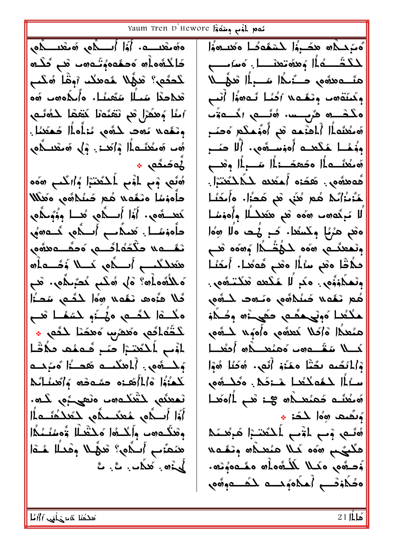## raum Tren D'Hewore la 1927

ەھىقىسە، أَوَّا أَىسىدُە ھىقىسىدە طَلْحُدُّەمْلُە ەَحسُّەمُ؋تَّـەھە ھُم كَحْلُـە لْمَحْمِ؟ مْلَهُلا مُّەمْلُد ٱوِثْنَا هُلْد مْحَاجِدًا مَجِبًاا مَعْمِيًا. وأَبْدَأُوهِ وَهُ اَمُا مُحَدَّلٌ مَنْ تَعْبُدْا خَفْعًا حَدُّمَّتَ ونَعْمَد مُحدَّد لِلْجُمِنِ مُزَلَّمَةُ الْمَعْمَدُ. رُهُ عَلَيْهِ وَالْكُمْ وَالْكُمْ وَالْكُمْ وَالْمُسْتَمَامَ وَالْمُسَلَّمَةِ \* رمعْمَه هُنَّهِ مِّمِ لَمْوِمٍ لَمَكْتَبَا مُالسًا مَهُ مَ حأەزمئا ەنىئە لە كەنلاھى ەكلا كَعْسَدُهُمْ. أَوَّا أَسَـدُهِ مُسَـاً وِذُوَّسُدُهِ. جاْەمْسُــا. كَيْنَامْنــى أَيـــدَّامْ، شَــدەنى، تعَــــه» حكْكُمُلاً ـــه مَ مَحشَـــه مِعْشَم مفللكب أيسلمي كمسلا وَصَنْدَاه ەللُّەەلُە؟ ەْل ھُلْم ىُعَبِّىلُەں. قىم ثَلا هُوَه نَعْمَد هِوَا لِحُمْمِ مَدْاً مكَــةَا لَمُصَــمٍ مؤــزَمِ لَمَـمُــأ قب لْكُتُهُ أَكُفٍ وَهُدَمِهِ وَهَكُمْ الْكُمْ ﴾ لمهْبِ لمُكْفَنَةِ حَبٍّ فَعَمْعَه فَلَاضْلِ وَحَدِيثَهِ بِ أَلْمَحْكَمَتُ هُجَدًا وَمَرْحَدَهِ لَكْمُزُوًّا وَالْمُأْهَدَهِ حَسَّـهِ صَوْمِ وَٱهْتَـٰلَـٰكُمْ تَعْطِنُكُمْ لِمُتَّفَكُمُونَ وَتَعِيْنُوْمٍ لَكُـرُهُ. أَوَا أَسِيْمِ هُعْكَسِيْمِ لِمَعْلَمَةَ وَالْمَرْ وتَعْكُدُه مِ وَأَحْدُهُ أَهْلَكُمْ وَالْمُعْلَمُ الْمُؤْمَنَ وَالْمُسَلَّمَا ا هَمَعُنُوبِ أَسِلَّاهِ؟ هَوْمُ اللَّهِ وَهْدَلَا لَهُــةَا لُهُ : لَهُ مَعْ اللَّهِ مِنْ اللَّهُ عَنْ اللَّهُ

هُمَ دِيمٌ مَا مَدَمُ الْمُسْتَوَمُوا لِلْمُسْتَوَمُوا مَعْلَمَ مِنْ لِمَكْتُسْبَكُمْلَ وَهَوَّتَعَشَسْهَا . وَسَامِنَتَهِمْ هنَدههُو حدَّمَهُ سَدِمًا هُمُكَ وكَمِنْتَةِهِ وَمُكْتَةِ الْأَمُّا لَتَّةِهُمْ أَنْسَمَ ەلْمْـــە ھُرېـــس. ھُلَــــە لگـــەۋُب هَ معُنُوا أَلْمَا أَعْدَمُ مَنْ أَوْفُهَكُمْ وَصَٰحِ وُمُمُا عَكَف أُومَسُوُو. أَلَا حَسَرِ هَ مُعْنًــه أَلْ هَ حَمْحَـــز أَل مَـــز أَل وقب قُهِ هِنُومٍ . هَجَةِ وَأَحْمَدِهِ الْمَلَائَعِنَةِلَ. لَّفُنُواْلُكُمْ هُمْ هُنَى هُمْ هَجُوْا وَأَمَكْنَا لَا مُرِيَّدە مَنْ مَوْمَ مَعْلَمَ لَمَّا وَأُومُسَا هَمْ هَرُمُا وِكَسُعًا. ضَرِ هُـْ هَا اللهُ وَهَا وتَعْقِدُهِ وَهُوَ لَمُخْشُدًا وَهُوَهِ قُتَّ حكَمْتْا ەھْم سَالَمَا ەھْم ھُەھْلا، اُمَحُسَّا وِنْعَكَافُؤُونَ. وَكَرِ لَا عَلَيْكُمْ ثَقَلْتَنَبُونَ. هُم نَعَه لا حُسُلاَةُ مِ مَــهِ حَــهُ مِ فكحاء وتحكم ومقعركوه لعظم همُعدُمَ ( وَأَصَلَا لَمَعَدُّهُ مِنْ وَأُومَ لِلْكُلْمَ مِنْ الْمُعَلَّمَ كما مَغْموم وَمنْعِم أَمْعِم الْمَسْمَلَ وْالْمُحْمَدِ بِحُثَا مِمْزُوْ أَنُقِي، هُجَنَا هُوَا سأأا لمفَعلُكُما سَـٰزَمَٰA . مَفْلِـشَمْمِ هُمعُنَـه حُمْعُـدْ» ﴿ وَ مَرْ مَحْمَلِهِ أُوَيَّقْتُمْتُ وَوَّةً إِلَيْهِ مَنْ يَجْمَعُوا فِي الْمَحْقَقَةِ مِنْ الْمُحْقَقَةِ مِنْ الْمُحْقَ هُنَّـهِ وۡبِ اءۡنَـى اَللَّعَـٰـٰٓٓٓٓٓ اِ هَٰٓءِهُــَـٰهَا هَكْمُهِم «هُه كَمِلا هنُعِيلُه وَمْعُـهِ» هُ دَهُو، وكَمَا لَمَلْهُواْهِ وَهُدَهُ . وككاؤنس أمكاووكسه للكسموؤون

محلفة الأمران أستكفأ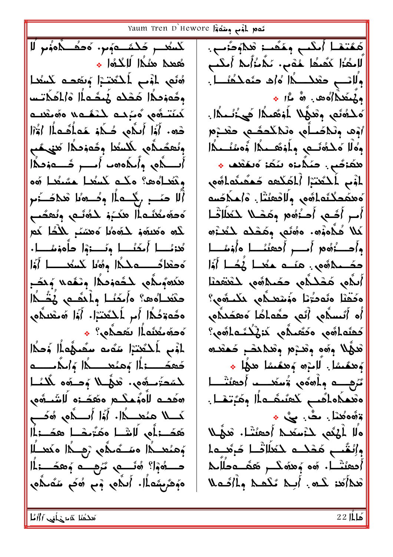| Yaum Tren D'Hewore la ومثموثا                                                                       |                                                                                                                                                                                                                                     |
|-----------------------------------------------------------------------------------------------------|-------------------------------------------------------------------------------------------------------------------------------------------------------------------------------------------------------------------------------------|
| لْمُسْكَسِرِ كَكْشَسْمَهِمْ. هُجَفْسِكُمْهُمْ لَلْ                                                  | ِكَمُتَهْا أُنْثَبَ فَكُفْتَ قَبْلَةٍ حُتَّىبٍ.                                                                                                                                                                                     |
| هُعداً مِنْدًا لِلْكُوُا ﴾                                                                          | المعُمْل كَثْمَىٰهَا ۖ عُثْمَنٍ ۖ نَجْا مُنْأَلِّكَ أَنْكُبَ                                                                                                                                                                        |
| أَهْلَى الْمُحِمَّى الْكُعْنَـٰمْ   وَنَعْصَـٰهِ كَلَّمَاهَـا                                       | وِلَاتَــــ حَعْفَــــدًا وُاد حَدَّدَتُـــا .                                                                                                                                                                                      |
| مِتَمَوْدِكُمْ كَصَدْهِ كَمِنْدُهِ الْمُكَاتِب                                                      | $\rightarrow$ 1 $\stackrel{+}{\bullet}$ 6 $\rightarrow$ 6 $\stackrel{+}{\bullet}$ 6 $\rightarrow$ 6                                                                                                                                 |
| كىنتىۋە ، مَرَىدە لەتكىمىلا ەۋەشتىم                                                                 | ءَ\مُمَامُونَـمٍ مِتَعَمِّلاً ۖ مَاهُمَمُوا ۖ حَيْخُصُمُا ﴾.                                                                                                                                                                        |
| ضَهِ • أَوَّا أَنكُمِ ضُكُوْ هُمَأُقُمَأَا اوْٓرَا                                                  | ٱوْهَ وِلْلأَصْبَاقِ وَلَيْلَاحَقَـٰهِ حَقْـَرْهِ                                                                                                                                                                                   |
| ونُعَصَدُه لِلْسُعَا وِحُودِهَا مَنيكُم                                                             | وَوَٰلَا مَحْدُونَــمِ مِـلَٰهَـصَـمَلَا وَْمِعْنَــمَلَا                                                                                                                                                                           |
| أىستأەر وأنكاه ه أمسر تُستوفيكا                                                                     | هكَاكُم . حَنْذُمَه بَنْكُمْ وَبَقْعَفْ ﴾                                                                                                                                                                                           |
| ومْعَاهُ هَا مَكْتَ كَتْبَعْدَا عَسْعُدَا هُ                                                        | لمُوْمِ لِمَكْتَبَا الْمَكْتَ حَمَّصُدُه الْهُمِ                                                                                                                                                                                    |
| ألا حَسَّمٍ رِجَّے أَل وَحُسْدُنَا كَمَاحَسَنَہُ                                                    | مَعْصَدُنَّدَاهُم وِلْإِصْطَنَتَا . وْاهْدَاصُو                                                                                                                                                                                     |
| ەَدەَمغْشَـەلَمَا ھكـَمْ شكەنَــە مِنْھگىــم                                                        | أسر أَصَّـــمِهِ أَصَدُّهُمْ ۚ وَهَـَـَــمَلَّا لَــتَعَلَّاتُــا                                                                                                                                                                   |
| لَّاهِ وَهُدِهُمْ لَدُوهُ أَوْ وَهُمْ لِلْكَا لَمَع                                                 | كَلًّا كُلُّهُوهُ. وَهُنَّعَ مِكْشَلَهُ لَمُعْنُوْهِ                                                                                                                                                                                |
| كُذِّئْنَا أَمَكْنُنَا وَيُسْتَوْمًا فَأَدْفِئْنَنَا.                                               | وأحسنُوهُمْ أُمِيسِ أُحْمَلُنْكُمْ وَأُوْسُطْ                                                                                                                                                                                       |
| هُحقَادٌــــــــــه لِـــــهُ اللَّهُ اللَّهُ اللَّهُ اللَّهُ الْمَ                                 | حَصَـــدارُهُ مِنْــــه ــمُحَـــل أَذَا أَذَا                                                                                                                                                                                      |
| هَدُهُ مِدْهِ لِلْحُدِودُ الْمُهَامَ لَا مَحْصَدِ                                                   | أىكُم مُصْلَكُم حصُلاَهُم لِمُعْتَمِنَا                                                                                                                                                                                             |
| حكَف مُ مَمْلَا وَالْمَدَى وَخُطْرًا                                                                | وَحَقْنَا وَنُوعَوْنَا وَمُسْعَدُوں لِلَّكُونَ }؟                                                                                                                                                                                   |
| هِ مُعْدَّدُهُ ﴾ أمر ۖ لَمَكْتَبْهِ ﴾ أَوَّا هُ مُعْدَدُهِ ﴾                                        | أَه ٱتَـسلُّام ٱتَـم حقَّماهُا مَعصَداُم ﴾                                                                                                                                                                                          |
| هُ دَهُمغْتُه) لِلْمَصَلُومِ؟ ﴾                                                                     | إِرَمَاهُمْ وَمُعْمَدُونَ مِنْهُمْ وَمِنْهُمْ وَمِنْهُمْ وَمِنْهُمْ وَمِنْ                                                                                                                                                          |
| لْمُو لِمُكْتَبَا مَدَّمه سَعْمِهَا أَوْحِكَا                                                       | تَعَلَّمَا وَهُوَ وَتَعْبَقُ وَتَعَلَّمَكُمْ كَعَقْدَه                                                                                                                                                                              |
| حَمدَ فَي الْمُسْتَحِمَدِ الْمُسْتَحَمَدِ الْمَسْتَحِمَدِ مِنْ الْمُسْتَحِمَدِ مِنْ الْمُسْتَحِمَدِ | وُهِمُنْنَا. لَانْزُهِ وُهِمُنْنَا هَجًا *                                                                                                                                                                                          |
| لْمُصَرّْسِةُومٍ. ثَلاَّهِمْ لَا مُحَسَّدُهِ لَلْمُسَا                                              | ترجع وأهده وتنغيب أحملني                                                                                                                                                                                                            |
| ووَحْده الْمَهْمِكْمِ وهُجَة الشَّمُوْمِ                                                            | ەھْھەاگىب كەئىگىمال مەئىتقىل.                                                                                                                                                                                                       |
| كَمِيلًا هِنُعْمِــدَا. أَوَّا أُنْسَـدُهِ هُجُسَــعِ                                               | $ \ddot{\bm{x}} $ : $\ddot{\bm{\omega}}$ : $\ddot{\bm{\omega}}$ : $\ddot{\bm{\omega}}$                                                                                                                                              |
| هَدَّــزَامِي لَاشْــا مِمَّرْمثْــا هدَــزاًا                                                      | ه المُعَه عليه الله عنه الله عنه الله عنه الله عنه الله عنه الله عنه الله عنه الله عنه الله عنه الله<br>من الله عنه الله عنه الله عنه الله عنه الله عنه الله عنه الله عنه الله عنه الله عنه الله عنه الله عنه الله عنه<br>من الله ع |
| الْمَحْدِ الْمَرِيمَ رَمِيهُمْ الْمَحْدَمَالِ                                                       | وإنشَّـــم هَـقَـلــه للعَلٰاتْــا صَرْمَــما                                                                                                                                                                                       |
| مِنْهُمْ!؟ هُنُنِــمٍ مُرْمِـــم مُعْمَـــزا!                                                       | أَحمَنْتُــا. وَه وَهِدَهُ كَـــرٍ هَهُــــه صَلاحِمَ                                                                                                                                                                               |
| ەَمُحَرَّىبِشَە أَا أَىـدَاهِ ۚ ثَمِنَ ۖ رُەکَعِ ۖ مَشَالِحُهِ وَ                                   | تَعْلَمُاتُعْ: كَتْهُ ﴾ أَبِيلِمْ مُكْحَمِّ وَأَأْهُدَهُا                                                                                                                                                                           |
|                                                                                                     |                                                                                                                                                                                                                                     |
| مَحْدُمُنَا آهُ مِهْلُفِي ٱلْأَمْلَ                                                                 | $22$ الْأَمَالُ $\mathbb{Z}^2$                                                                                                                                                                                                      |